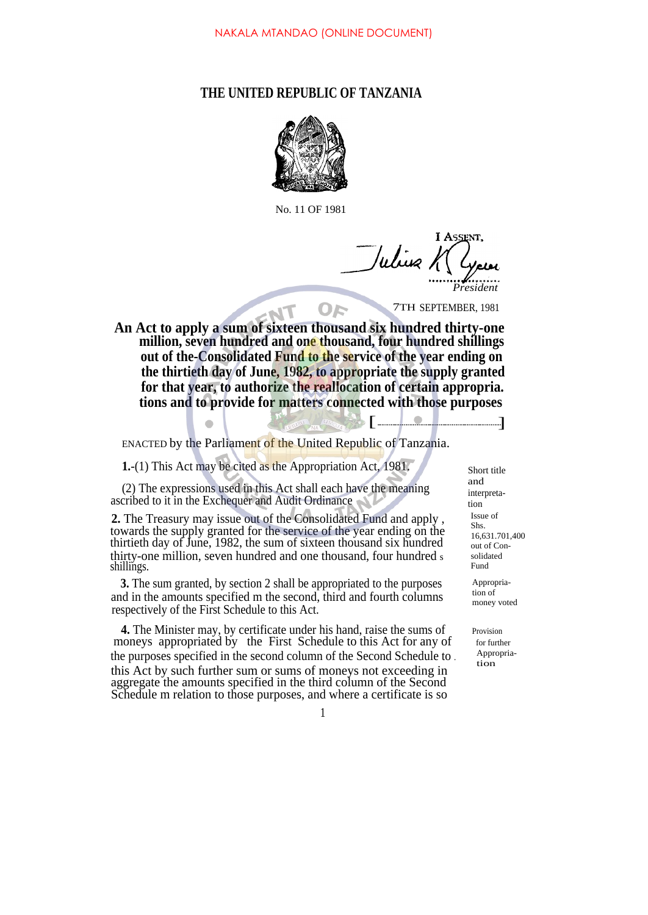## **THE UNITED REPUBLIC OF TANZANIA**



No. 11 OF 1981

**I ASSENT** Julius K *President*

7TH SEPTEMBER, 1981

**An Act to apply a sum of sixteen thousand six hundred thirty-one million, seven hundred and one thousand, four hundred shillings out of the-Consolidated Fund to the service of the year ending on the thirtieth day of June, 1982, to appropriate the supply granted for that year, to authorize the reallocation of certain appropria. tions and to provide for matters connected with those purposes**  $\begin{bmatrix} 0 & 0 \\ 0 & 0 \end{bmatrix}$   $\begin{bmatrix} 1 & 1 \\ 1 & 1 \end{bmatrix}$ 

OF

ENACTED by the Parliament of the United Republic of Tanzania.

**1.**-(1) This Act may be cited as the Appropriation Act, 1981. Short title

(2) The expressions used in this Act shall each have the meaning ascribed to it in the Exchequer and Audit Ordinance

**2.** The Treasury may issue out of the Consolidated Fund and apply , towards the supply granted for the service of the year ending on the thirtieth day of June, 1982, the sum of sixteen thousand six hundred thirty-one million, seven hundred and one thousand, four hundred s shillings.

**3.** The sum granted, by section 2 shall be appropriated to the purposes and in the amounts specified m the second, third and fourth columns respectively of the First Schedule to this Act.

**4.** The Minister may, by certificate under his hand, raise the sums of Provision moneys appropriated by the First Schedule to this Act for any of for further the purposes specified in the second column of the Second Schedule to . this Act by such further sum or sums of moneys not exceeding in aggregate the amounts specified in the third column of the Second Schedule m relation to those purposes, and where a certificate is so

and interpretation Issue of Shs. 16,631.701,400 out of Consolidated Fund

Appropriation of money voted

Appropriation

1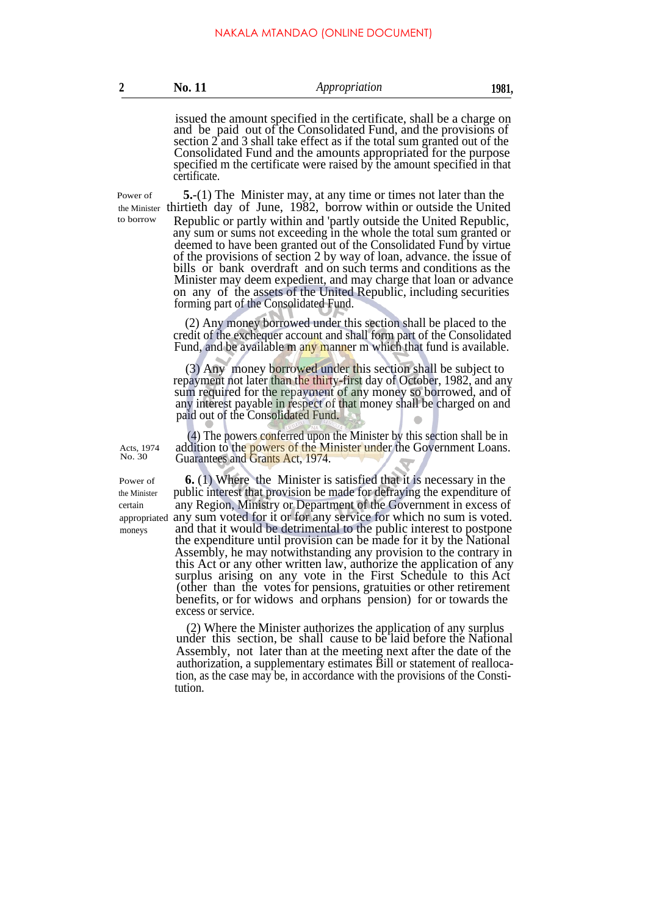| No. 11<br>Appropriation | 1981. |
|-------------------------|-------|
|-------------------------|-------|

issued the amount specified in the certificate, shall be a charge on and be paid out of the Consolidated Fund, and the provisions of section 2 and 3 shall take effect as if the total sum granted out of the Consolidated Fund and the amounts appropriated for the purpose specified m the certificate were raised by the amount specified in that certificate.

Power of

**5.**-(1) The Minister may, at any time or times not later than the the Minister thirtieth day of June, 1982, borrow within or outside the United to borrow Republic or partly within and 'partly outside the United Republic, any sum or sums not exceeding in the whole the total sum granted or deemed to have been granted out of the Consolidated Fund by virtue of the provisions of section 2 by way of loan, advance. the issue of bills or bank overdraft and on such terms and conditions as the Minister may deem expedient, and may charge that loan or advance on any of the assets of the United Republic, including securities forming part of the Consolidated Fund.

> (2) Any money borrowed under this section shall be placed to the credit of the exchequer account and shall form part of the Consolidated Fund, and be available m any manner m which that fund is available.

> (3) Any money borrowed under this section shall be subject to repayment not later than the thirty-first day of October, 1982, and any sum required for the repayment of any money so borrowed, and of any interest payable in respect of that money shall be charged on and paid out of the Consolidated Fund.

> (4) The powers conferred upon the Minister by this section shall be in addition to the powers of the Minister under the Government Loans. Guarantees and Grants Act, 1974.

Power of

Acts, 1974 No. 30

**6.** (1) Where the Minister is satisfied that it is necessary in the the Minister public interest that provision be made for defraying the expenditure of certain any Region, Ministry or Department of the Government in excess of appropriated any sum voted for it or for any service for which no sum is voted. moneys and that it would be detrimental to the public interest to postpone the expenditure until provision can be made for it by the National Assembly, he may notwithstanding any provision to the contrary in this Act or any other written law, authorize the application of any surplus arising on any vote in the First Schedule to this Act (other than the votes for pensions, gratuities or other retirement benefits, or for widows and orphans pension) for or towards the excess or service.

> (2) Where the Minister authorizes the application of any surplus under this section, be shall cause to be laid before the National Assembly, not later than at the meeting next after the date of the authorization, a supplementary estimates Bill or statement of reallocation, as the case may be, in accordance with the provisions of the Constitution.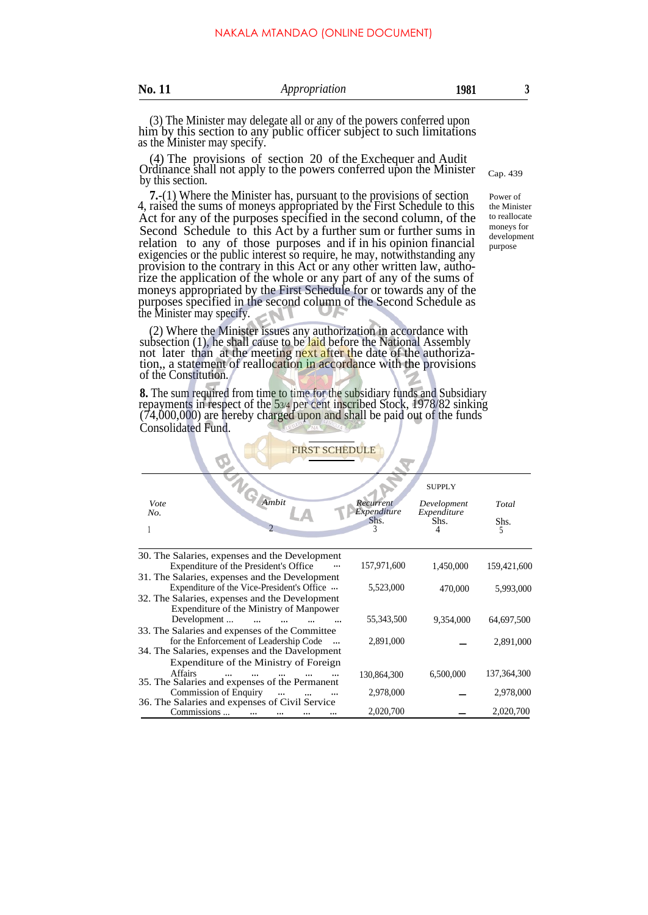| ı<br>٠ |  |
|--------|--|
|        |  |

(3) The Minister may delegate all or any of the powers conferred upon him by this section to any public officer subject to such limitations as the Minister may specify.

(4) The provisions of section 20 of the Exchequer and Audit Ordinance shall not apply to the powers conferred upon the Minister c<sub>ap. 439</sub> by this section.

**7.**-(1) Where the Minister has, pursuant to the provisions of section 4, raised the sums of moneys appropriated by the First Schedule to this Act for any of the purposes specified in the second column, of the Second Schedule to this Act by a further sum or further sums in relation to any of those purposes and if in his opinion financial exigencies or the public interest so require, he may, notwithstanding any provision to the contrary in this Act or any other written law, authorize the application of the whole or any part of any of the sums of moneys appropriated by the First Schedule for or towards any of the purposes specified in the second column of the Second Schedule as the Minister may specify.

(2) Where the Minister issues any authorization in accordance with subsection  $(1)$ , he shall cause to be laid before the National Assembly not later than at the meeting next after the date of the authorization,, a statement of reallocation in accordance with the provisions of the Constitution.

**8.** The sum required from time to time for the subsidiary funds and Subsidiary repayments in respect of the 53/4 per cent inscribed Stock, 1978/82 sinking (74,000,000) are hereby charged upon and shall be paid out of the funds Consolidated Fund.

| aв |  |
|----|--|

Power of the Minister to reallocate moneys for development purpose

| <b>FIRST SCHEDULE</b>                                                                        |                          |                     |             |
|----------------------------------------------------------------------------------------------|--------------------------|---------------------|-------------|
|                                                                                              |                          | <b>SUPPLY</b>       |             |
| Ambit<br>Vote                                                                                | Recurrent<br>Expenditure | Development         | Total       |
| No.                                                                                          | Shs.                     | Expenditure<br>Shs. | Shs.<br>5   |
|                                                                                              |                          |                     |             |
| 30. The Salaries, expenses and the Development<br>Expenditure of the President's Office      | 157,971,600              | 1,450,000           | 159,421,600 |
| 31. The Salaries, expenses and the Development<br>Expenditure of the Vice-President's Office | 5,523,000                | 470,000             | 5,993,000   |
| 32. The Salaries, expenses and the Development<br>Expenditure of the Ministry of Manpower    |                          |                     |             |
| Development<br>33. The Salaries and expenses of the Committee                                | 55,343,500               | 9,354,000           | 64,697,500  |
| for the Enforcement of Leadership Code<br>34. The Salaries, expenses and the Davelopment     | 2,891,000                |                     | 2,891,000   |
| Expenditure of the Ministry of Foreign                                                       |                          |                     |             |
| Affairs<br>35. The Salaries and expenses of the Permanent                                    | 130,864,300              | 6,500,000           | 137,364,300 |
| <b>Commission of Enquiry</b><br>$\cdots$<br>36. The Salaries and expenses of Civil Service   | 2,978,000                |                     | 2,978,000   |
| Commissions                                                                                  | 2,020,700                |                     | 2,020,700   |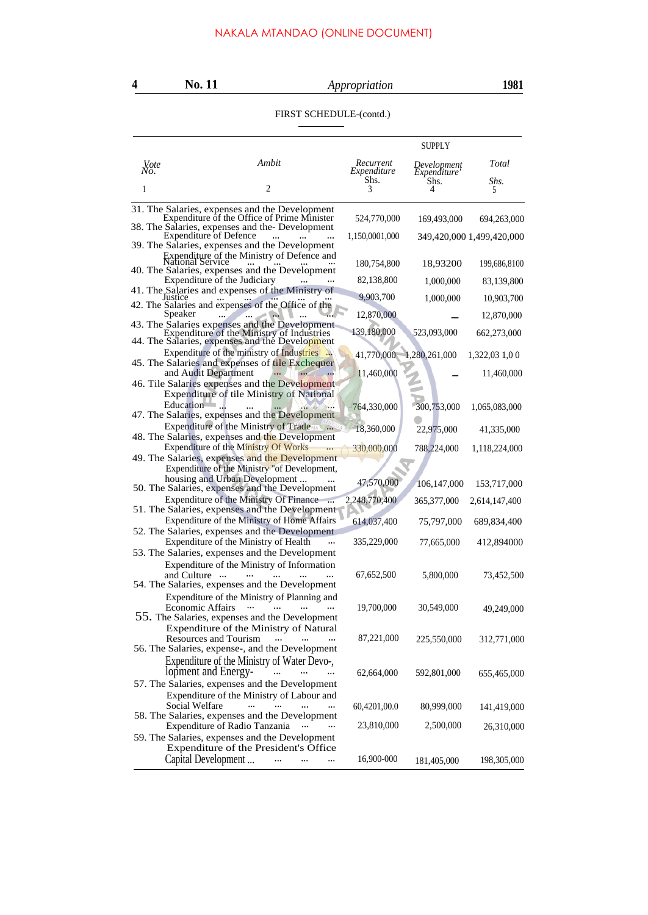## FIRST SCHEDULE-(contd.)

|                     |                                                                                                                                              |                          | SUPPLY                      |                           |
|---------------------|----------------------------------------------------------------------------------------------------------------------------------------------|--------------------------|-----------------------------|---------------------------|
| <b>V</b> ote<br>No. | Ambit                                                                                                                                        | Recurrent<br>Expenditure | Development<br>Expenditure' | Total                     |
| 1                   | 2                                                                                                                                            | Shs.<br>3                | Shs.<br>4                   | Shs.<br>5                 |
|                     | 31. The Salaries, expenses and the Development<br>Expenditure of the Office of Prime Minister                                                | 524,770,000              | 169,493,000                 | 694,263,000               |
|                     | 38. The Salaries, expenses and the Development                                                                                               |                          |                             |                           |
|                     | <b>Expenditure of Defence</b><br>$\cdots$<br>39. The Salaries, expenses and the Development                                                  | 1,150,0001,000           |                             | 349,420,000 1,499,420,000 |
|                     |                                                                                                                                              | 180,754,800              | 18,93200                    | 199,686,8100              |
|                     | 40. The Salaries, expenses and the Development<br>Expenditure of the Judiciary                                                               | 82,138,800               | 1,000,000                   | 83,139,800                |
|                     | 41. The Salaries and expenses of the Ministry of<br>Justice                                                                                  | 9,903,700                | 1,000,000                   | 10,903,700                |
|                     | 42. The Salaries and expenses of the Office of the<br>Speaker                                                                                | 12,870,000               |                             | 12,870,000                |
|                     | 43. The Salaries expenses and the Development<br>Expenditure of the Ministry of Industries<br>44. The Salaries, expenses and the Development | 139,180,000              | 523,093,000                 | 662,273,000               |
|                     | Expenditure of the ministry of Industries                                                                                                    | 41,770,000               | 1,280,261,000               | 1,322,03 1,0 0            |
|                     | 45. The Salaries and expenses of tile Exchequer<br>and Audit Department                                                                      | 11,460,000               |                             | 11,460,000                |
|                     | 46. Tile Salaries expenses and the Development                                                                                               |                          |                             |                           |
|                     | <b>Expenditure of tile Ministry of National</b><br>Education                                                                                 | 764,330,000              | 300,753,000                 | 1,065,083,000             |
|                     | 47. The Salaries, expenses and the Development<br><b>Expenditure of the Ministry of Trade</b>                                                | 18,360,000               | 22,975,000                  | 41,335,000                |
|                     | 48. The Salaries, expenses and the Development<br>Expenditure of the Ministry Of Works                                                       |                          |                             |                           |
|                     | 49. The Salaries, expenses and the Development                                                                                               | 330,000,000              | 788,224,000                 | 1,118,224,000             |
|                     | Expenditure of the Ministry "of Development,                                                                                                 |                          |                             |                           |
|                     | housing and Urban Development<br>50. The Salaries, expenses and the Development                                                              | 47,570,000               | 106,147,000                 | 153,717,000               |
|                     | Expenditure of the Ministry Of Finance<br>51. The Salaries, expenses and the Development                                                     | 2,248,770,400            | 365,377,000                 | 2,614,147,400             |
|                     | Expenditure of the Ministry of Home Affairs                                                                                                  | 614,037,400              | 75,797,000                  | 689,834,400               |
|                     | 52. The Salaries, expenses and the Development<br>Expenditure of the Ministry of Health                                                      |                          |                             |                           |
|                     | 53. The Salaries, expenses and the Development                                                                                               | 335,229,000              | 77,665,000                  | 412,894000                |
|                     | Expenditure of the Ministry of Information<br>and Culture<br>$\cdots$<br>54. The Salaries, expenses and the Development                      | 67,652,500               | 5,800,000                   | 73,452,500                |
|                     | Expenditure of the Ministry of Planning and<br>Economic Affairs                                                                              | 19,700,000               | 30,549,000                  | 49,249,000                |
|                     | 55. The Salaries, expenses and the Development<br>Expenditure of the Ministry of Natural                                                     |                          |                             |                           |
|                     | Resources and Tourism<br>$\cdots$<br>56. The Salaries, expense-, and the Development                                                         | 87,221,000               | 225,550,000                 | 312,771,000               |
|                     | Expenditure of the Ministry of Water Devo-,<br>lopment and Energy-<br>$\cdots$                                                               | 62,664,000               | 592,801,000                 | 655,465,000               |
|                     | 57. The Salaries, expenses and the Development                                                                                               |                          |                             |                           |
|                     | Expenditure of the Ministry of Labour and<br>Social Welfare<br>$\cdots$<br>$\ddotsc$<br>$\cdots$<br>$\overline{a}$                           | 60,4201,00.0             | 80,999,000                  | 141,419,000               |
|                     | 58. The Salaries, expenses and the Development<br>Expenditure of Radio Tanzania<br>$\cdots$                                                  | 23,810,000               | 2,500,000                   | 26,310,000                |
|                     | 59. The Salaries, expenses and the Development<br>Expenditure of the President's Office                                                      |                          |                             |                           |
|                     | Capital Development                                                                                                                          | 16,900-000               | 181,405,000                 | 198,305,000               |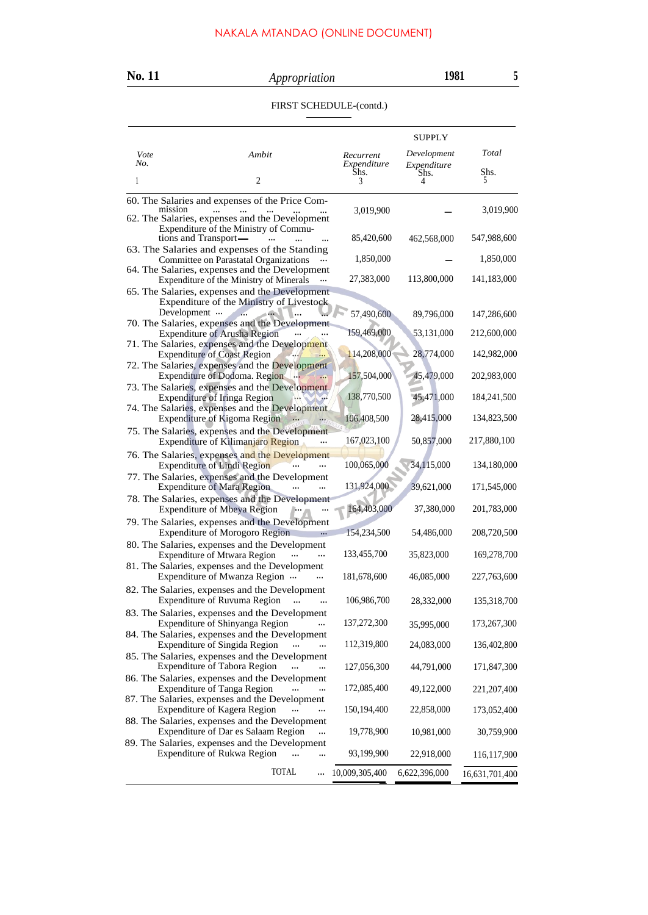# **No. 11** *Appropriation* **1981 <sup>5</sup>**

### FIRST SCHEDULE-(contd.)

| Vote | Ambit                                                                                                  | Recurrent      | <b>SUPPLY</b><br>Development | Total          |
|------|--------------------------------------------------------------------------------------------------------|----------------|------------------------------|----------------|
| No.  |                                                                                                        | Expenditure    | Expenditure<br>Shs.          | Shs.           |
| 1    | 2                                                                                                      | Shs.           | 4                            | 5              |
|      | 60. The Salaries and expenses of the Price Com-                                                        |                |                              |                |
|      | mission<br><br>62. The Salaries, expenses and the Development<br>Expenditure of the Ministry of Commu- | 3,019,900      |                              | 3,019,900      |
|      | tions and Transport-<br>$\cdots$<br>63. The Salaries and expenses of the Standing                      | 85,420,600     | 462,568,000                  | 547,988,600    |
|      | Committee on Parastatal Organizations                                                                  | 1,850,000      |                              | 1,850,000      |
|      | 64. The Salaries, expenses and the Development<br>Expenditure of the Ministry of Minerals              | 27,383,000     | 113,800,000                  | 141,183,000    |
|      | 65. The Salaries, expenses and the Development<br>Expenditure of the Ministry of Livestock             |                |                              |                |
|      | Development<br>70. The Salaries, expenses and the Development                                          | 57,490,600     | 89,796,000                   | 147,286,600    |
|      | <b>Expenditure of Arusha Region</b><br>71. The Salaries, expenses and the Development                  | 159,469,000    | 53,131,000                   | 212,600,000    |
|      | <b>Expenditure of Coast Region</b>                                                                     | 114,208,000    | 28,774,000                   | 142,982,000    |
|      | 72. The Salaries, expenses and the Development<br>Expenditure of Dodoma. Region<br>$\ddotsc$           | 157,504,000    | 45,479,000                   | 202,983,000    |
|      | 73. The Salaries, expenses and the Development<br><b>Expenditure of Iringa Region</b>                  | 138,770,500    | 45,471,000                   | 184,241,500    |
|      | 74. The Salaries, expenses and the Development<br><b>Expenditure of Kigoma Region</b>                  | 106,408,500    | 28,415,000                   | 134,823,500    |
|      | 75. The Salaries, expenses and the Development<br>Expenditure of Kilimanjaro Region                    | 167,023,100    | 50,857,000                   | 217,880,100    |
|      | 76. The Salaries, expenses and the Development<br><b>Expenditure of Lindi Region</b>                   | 100,065,000    | 34,115,000                   | 134,180,000    |
|      | 77. The Salaries, expenses and the Development<br><b>Expenditure of Mara Region</b>                    | 131,924,000    | 39,621,000                   | 171,545,000    |
|      | 78. The Salaries, expenses and the Development<br><b>Expenditure of Mbeya Region</b>                   | 164,403,000    | 37,380,000                   | 201,783,000    |
|      | 79. The Salaries, expenses and the Development<br><b>Expenditure of Morogoro Region</b><br>            | 154,234,500    | 54,486,000                   | 208,720,500    |
|      | 80. The Salaries, expenses and the Development<br><b>Expenditure of Mtwara Region</b>                  | 133,455,700    | 35,823,000                   | 169,278,700    |
|      | 81. The Salaries, expenses and the Development<br>Expenditure of Mwanza Region                         | 181,678,600    | 46,085,000                   | 227,763,600    |
|      | 82. The Salaries, expenses and the Development<br>Expenditure of Ruvuma Region                         | 106,986,700    | 28,332,000                   | 135,318,700    |
|      | 83. The Salaries, expenses and the Development<br>Expenditure of Shinyanga Region                      | 137,272,300    | 35,995,000                   | 173,267,300    |
|      | 84. The Salaries, expenses and the Development<br>Expenditure of Singida Region<br>                    | 112,319,800    | 24,083,000                   | 136,402,800    |
|      | 85. The Salaries, expenses and the Development<br><b>Expenditure of Tabora Region</b>                  | 127,056,300    | 44,791,000                   | 171,847,300    |
|      | 86. The Salaries, expenses and the Development                                                         |                |                              |                |
|      | <b>Expenditure of Tanga Region</b><br>87. The Salaries, expenses and the Development                   | 172,085,400    | 49,122,000                   | 221, 207, 400  |
|      | Expenditure of Kagera Region<br><br>88. The Salaries, expenses and the Development                     | 150, 194, 400  | 22,858,000                   | 173,052,400    |
|      | Expenditure of Dar es Salaam Region                                                                    | 19,778,900     | 10,981,000                   | 30,759,900     |
|      | 89. The Salaries, expenses and the Development<br>Expenditure of Rukwa Region<br>                      | 93,199,900     | 22,918,000                   | 116, 117, 900  |
|      | TOTAL<br>                                                                                              | 10,009,305,400 | 6,622,396,000                | 16,631,701,400 |
|      |                                                                                                        |                |                              |                |